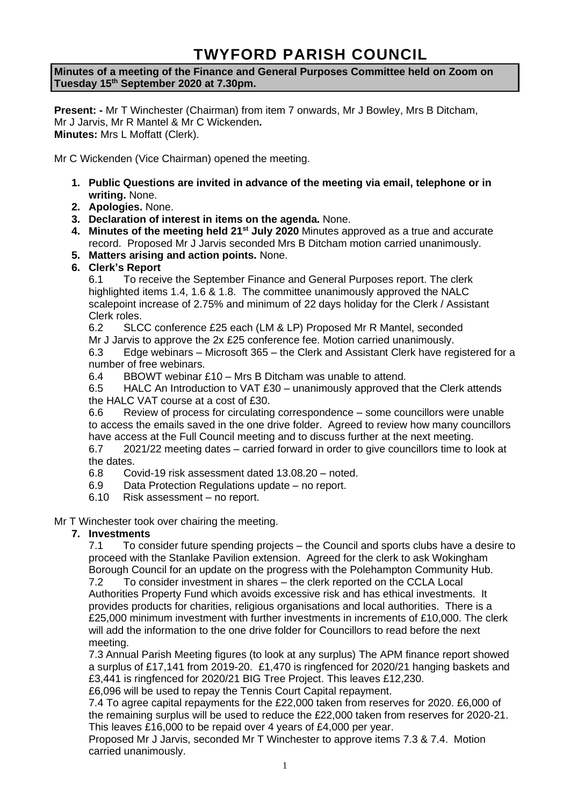# **TWYFORD PARISH COUNCIL**

**Minutes of a meeting of the Finance and General Purposes Committee held on Zoom on Tuesday 15th September 2020 at 7.30pm.**

**Present: -** Mr T Winchester (Chairman) from item 7 onwards, Mr J Bowley, Mrs B Ditcham, Mr J Jarvis, Mr R Mantel & Mr C Wickenden**. Minutes:** Mrs L Moffatt (Clerk).

Mr C Wickenden (Vice Chairman) opened the meeting.

- **1. Public Questions are invited in advance of the meeting via email, telephone or in writing.** None.
- **2. Apologies.** None.
- **3. Declaration of interest in items on the agenda.** None.
- **4. Minutes of the meeting held 21st July 2020** Minutes approved as a true and accurate record. Proposed Mr J Jarvis seconded Mrs B Ditcham motion carried unanimously.
- **5. Matters arising and action points.** None.

# **6. Clerk's Report**

6.1 To receive the September Finance and General Purposes report. The clerk highlighted items 1.4, 1.6 & 1.8. The committee unanimously approved the NALC scalepoint increase of 2.75% and minimum of 22 days holiday for the Clerk / Assistant Clerk roles.

6.2 SLCC conference £25 each (LM & LP) Proposed Mr R Mantel, seconded

Mr J Jarvis to approve the 2x £25 conference fee. Motion carried unanimously.

6.3 Edge webinars – Microsoft 365 – the Clerk and Assistant Clerk have registered for a number of free webinars.

6.4 BBOWT webinar £10 – Mrs B Ditcham was unable to attend.

6.5 HALC An Introduction to VAT £30 – unanimously approved that the Clerk attends the HALC VAT course at a cost of £30.

6.6 Review of process for circulating correspondence – some councillors were unable to access the emails saved in the one drive folder. Agreed to review how many councillors have access at the Full Council meeting and to discuss further at the next meeting. 6.7 2021/22 meeting dates – carried forward in order to give councillors time to look at

the dates.

6.8 Covid-19 risk assessment dated 13.08.20 – noted.

- 6.9 Data Protection Regulations update no report.
- 6.10 Risk assessment no report.

#### Mr T Winchester took over chairing the meeting.

#### **7. Investments**

7.1 To consider future spending projects – the Council and sports clubs have a desire to proceed with the Stanlake Pavilion extension. Agreed for the clerk to ask Wokingham Borough Council for an update on the progress with the Polehampton Community Hub.

7.2 To consider investment in shares – the clerk reported on the CCLA Local Authorities Property Fund which avoids excessive risk and has ethical investments. It provides products for charities, religious organisations and local authorities. There is a £25,000 minimum investment with further investments in increments of £10,000. The clerk will add the information to the one drive folder for Councillors to read before the next meeting.

7.3 Annual Parish Meeting figures (to look at any surplus) The APM finance report showed a surplus of £17,141 from 2019-20. £1,470 is ringfenced for 2020/21 hanging baskets and £3,441 is ringfenced for 2020/21 BIG Tree Project. This leaves £12,230.

£6,096 will be used to repay the Tennis Court Capital repayment.

7.4 To agree capital repayments for the £22,000 taken from reserves for 2020. £6,000 of the remaining surplus will be used to reduce the £22,000 taken from reserves for 2020-21. This leaves £16,000 to be repaid over 4 years of £4,000 per year.

Proposed Mr J Jarvis, seconded Mr T Winchester to approve items 7.3 & 7.4. Motion carried unanimously.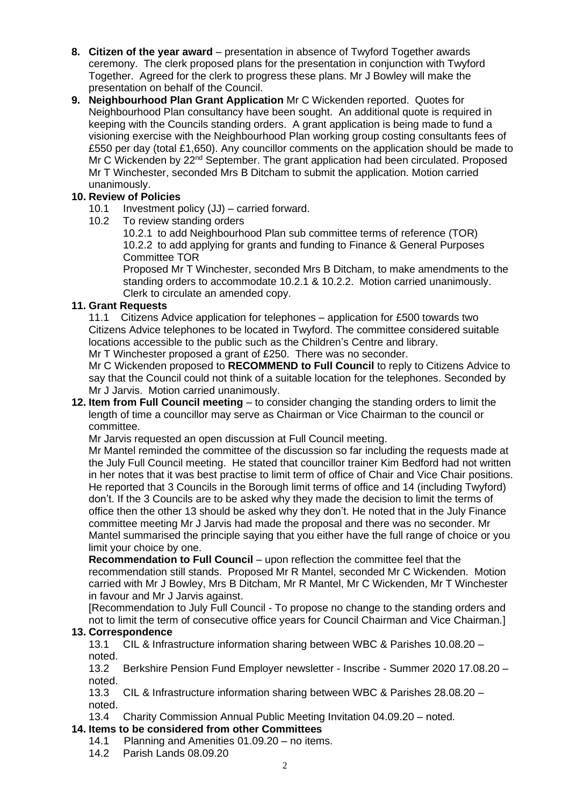- **8. Citizen of the year award** presentation in absence of Twyford Together awards ceremony. The clerk proposed plans for the presentation in conjunction with Twyford Together. Agreed for the clerk to progress these plans. Mr J Bowley will make the presentation on behalf of the Council.
- **9. Neighbourhood Plan Grant Application** Mr C Wickenden reported. Quotes for Neighbourhood Plan consultancy have been sought. An additional quote is required in keeping with the Councils standing orders. A grant application is being made to fund a visioning exercise with the Neighbourhood Plan working group costing consultants fees of £550 per day (total £1,650). Any councillor comments on the application should be made to Mr C Wickenden by 22<sup>nd</sup> September. The grant application had been circulated. Proposed Mr T Winchester, seconded Mrs B Ditcham to submit the application. Motion carried unanimously.

# **10. Review of Policies**

- 10.1 Investment policy (JJ) carried forward.
- 10.2 To review standing orders

10.2.1 to add Neighbourhood Plan sub committee terms of reference (TOR) 10.2.2 to add applying for grants and funding to Finance & General Purposes Committee TOR

Proposed Mr T Winchester, seconded Mrs B Ditcham, to make amendments to the standing orders to accommodate 10.2.1 & 10.2.2. Motion carried unanimously. Clerk to circulate an amended copy.

#### **11. Grant Requests**

11.1 Citizens Advice application for telephones – application for £500 towards two Citizens Advice telephones to be located in Twyford. The committee considered suitable locations accessible to the public such as the Children's Centre and library.

Mr T Winchester proposed a grant of £250. There was no seconder.

Mr C Wickenden proposed to **RECOMMEND to Full Council** to reply to Citizens Advice to say that the Council could not think of a suitable location for the telephones. Seconded by Mr J Jarvis. Motion carried unanimously.

**12. Item from Full Council meeting** – to consider changing the standing orders to limit the length of time a councillor may serve as Chairman or Vice Chairman to the council or committee.

Mr Jarvis requested an open discussion at Full Council meeting.

Mr Mantel reminded the committee of the discussion so far including the requests made at the July Full Council meeting. He stated that councillor trainer Kim Bedford had not written in her notes that it was best practise to limit term of office of Chair and Vice Chair positions. He reported that 3 Councils in the Borough limit terms of office and 14 (including Twyford) don't. If the 3 Councils are to be asked why they made the decision to limit the terms of office then the other 13 should be asked why they don't. He noted that in the July Finance committee meeting Mr J Jarvis had made the proposal and there was no seconder. Mr Mantel summarised the principle saying that you either have the full range of choice or you limit your choice by one.

**Recommendation to Full Council** – upon reflection the committee feel that the recommendation still stands. Proposed Mr R Mantel, seconded Mr C Wickenden. Motion carried with Mr J Bowley, Mrs B Ditcham, Mr R Mantel, Mr C Wickenden, Mr T Winchester in favour and Mr J Jarvis against.

[Recommendation to July Full Council - To propose no change to the standing orders and not to limit the term of consecutive office years for Council Chairman and Vice Chairman.]

#### **13. Correspondence**

13.1 CIL & Infrastructure information sharing between WBC & Parishes 10.08.20 – noted.

13.2 Berkshire Pension Fund Employer newsletter - Inscribe - Summer 2020 17.08.20 – noted.

13.3 CIL & Infrastructure information sharing between WBC & Parishes 28.08.20 – noted.

13.4 Charity Commission Annual Public Meeting Invitation 04.09.20 – noted.

## **14. Items to be considered from other Committees**

- 14.1 Planning and Amenities 01.09.20 no items.
- 14.2 Parish Lands 08.09.20